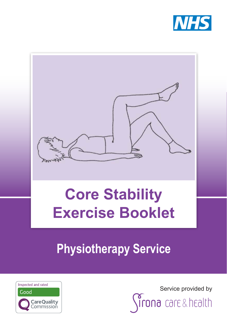



# **Core Stability Exercise Booklet**

**Physiotherapy Service**



Service provided by

ona care&health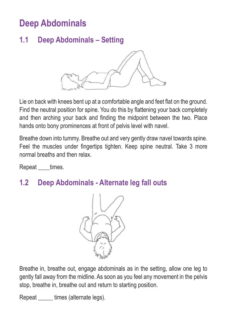# **Deep Abdominals**

# **1.1 Deep Abdominals – Setting**



Lie on back with knees bent up at a comfortable angle and feet flat on the ground. Find the neutral position for spine. You do this by flattening your back completely and then arching your back and finding the midpoint between the two. Place hands onto bony prominences at front of pelvis level with navel.

Breathe down into tummy. Breathe out and very gently draw navel towards spine. Feel the muscles under fingertips tighten. Keep spine neutral. Take 3 more normal breaths and then relax.

Repeat times.

#### **1.2 Deep Abdominals - Alternate leg fall outs**



Breathe in, breathe out, engage abdominals as in the setting, allow one leg to gently fall away from the midline. As soon as you feel any movement in the pelvis stop, breathe in, breathe out and return to starting position.

Repeat \_\_\_\_\_\_ times (alternate legs).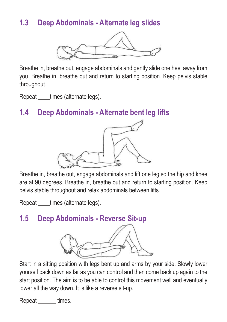# **1.3 Deep Abdominals - Alternate leg slides**



Breathe in, breathe out, engage abdominals and gently slide one heel away from you. Breathe in, breathe out and return to starting position. Keep pelvis stable throughout.

Repeat times (alternate legs).

#### **1.4 Deep Abdominals - Alternate bent leg lifts**



Breathe in, breathe out, engage abdominals and lift one leg so the hip and knee are at 90 degrees. Breathe in, breathe out and return to starting position. Keep pelvis stable throughout and relax abdominals between lifts.

Repeat times (alternate legs).

#### **1.5 Deep Abdominals - Reverse Sit-up**



Start in a sitting position with legs bent up and arms by your side. Slowly lower yourself back down as far as you can control and then come back up again to the start position. The aim is to be able to control this movement well and eventually lower all the way down. It is like a reverse sit-up.

Repeat times.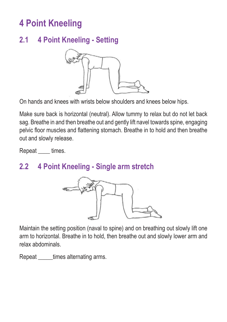# **4 Point Kneeling**

# **2.1 4 Point Kneeling - Setting**



On hands and knees with wrists below shoulders and knees below hips.

Make sure back is horizontal (neutral). Allow tummy to relax but do not let back sag. Breathe in and then breathe out and gently lift navel towards spine, engaging pelvic floor muscles and flattening stomach. Breathe in to hold and then breathe out and slowly release.

Repeat \_\_\_\_ times.

#### **2.2 4 Point Kneeling - Single arm stretch**



Maintain the setting position (naval to spine) and on breathing out slowly lift one arm to horizontal. Breathe in to hold, then breathe out and slowly lower arm and relax abdominals.

Repeat \_\_\_\_\_times alternating arms.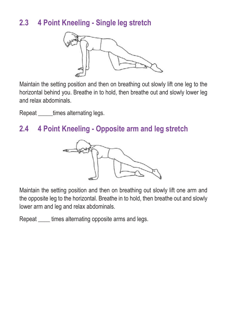# **2.3 4 Point Kneeling - Single leg stretch**



Maintain the setting position and then on breathing out slowly lift one leg to the horizontal behind you. Breathe in to hold, then breathe out and slowly lower leg and relax abdominals.

Repeat times alternating legs.

#### **2.4 4 Point Kneeling - Opposite arm and leg stretch**



Maintain the setting position and then on breathing out slowly lift one arm and the opposite leg to the horizontal. Breathe in to hold, then breathe out and slowly lower arm and leg and relax abdominals.

Repeat times alternating opposite arms and legs.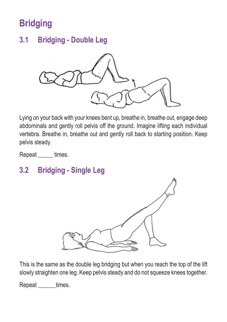# **Bridging**

### **3.1 Bridging - Double Leg**



Lying on your back with your knees bent up, breathe in, breathe out, engage deep abdominals and gently roll pelvis off the ground. Imagine lifting each individual vertebra. Breathe in, breathe out and gently roll back to starting position. Keep pelvis steady.

Repeat \_\_\_\_\_ times.

# **3.2 Bridging - Single Leg**



This is the same as the double leg bridging but when you reach the top of the lift slowly straighten one leg. Keep pelvis steady and do not squeeze knees together.

Repeat \_\_\_\_\_\_times.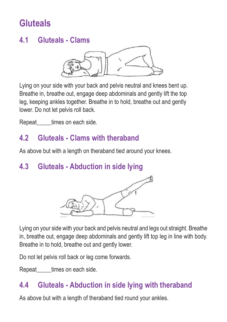# **Gluteals**

#### **4.1 Gluteals - Clams**



Lying on your side with your back and pelvis neutral and knees bent up. Breathe in, breathe out, engage deep abdominals and gently lift the top leg, keeping ankles together. Breathe in to hold, breathe out and gently lower. Do not let pelvis roll back.

Repeat times on each side.

#### **4.2 Gluteals - Clams with theraband**

As above but with a length on theraband tied around your knees.

# **4.3 Gluteals - Abduction in side lying**



Lying on your side with your back and pelvis neutral and legs out straight. Breathe in, breathe out, engage deep abdominals and gently lift top leg in line with body. Breathe in to hold, breathe out and gently lower.

Do not let pelvis roll back or leg come forwards.

Repeat times on each side.

# **4.4 Gluteals - Abduction in side lying with theraband**

As above but with a length of theraband tied round your ankles.